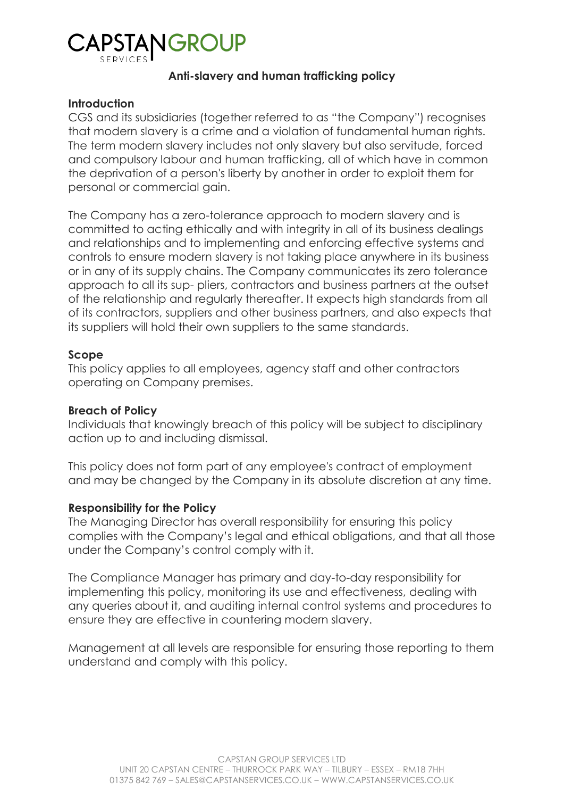# CAPSTANGR

# **Anti-slavery and human trafficking policy**

## **Introduction**

CGS and its subsidiaries (together referred to as "the Company") recognises that modern slavery is a crime and a violation of fundamental human rights. The term modern slavery includes not only slavery but also servitude, forced and compulsory labour and human trafficking, all of which have in common the deprivation of a person's liberty by another in order to exploit them for personal or commercial gain.

The Company has a zero-tolerance approach to modern slavery and is committed to acting ethically and with integrity in all of its business dealings and relationships and to implementing and enforcing effective systems and controls to ensure modern slavery is not taking place anywhere in its business or in any of its supply chains. The Company communicates its zero tolerance approach to all its sup- pliers, contractors and business partners at the outset of the relationship and regularly thereafter. It expects high standards from all of its contractors, suppliers and other business partners, and also expects that its suppliers will hold their own suppliers to the same standards.

## **Scope**

This policy applies to all employees, agency staff and other contractors operating on Company premises.

# **Breach of Policy**

Individuals that knowingly breach of this policy will be subject to disciplinary action up to and including dismissal.

This policy does not form part of any employee's contract of employment and may be changed by the Company in its absolute discretion at any time.

# **Responsibility for the Policy**

The Managing Director has overall responsibility for ensuring this policy complies with the Company's legal and ethical obligations, and that all those under the Company's control comply with it.

The Compliance Manager has primary and day-to-day responsibility for implementing this policy, monitoring its use and effectiveness, dealing with any queries about it, and auditing internal control systems and procedures to ensure they are effective in countering modern slavery.

Management at all levels are responsible for ensuring those reporting to them understand and comply with this policy.